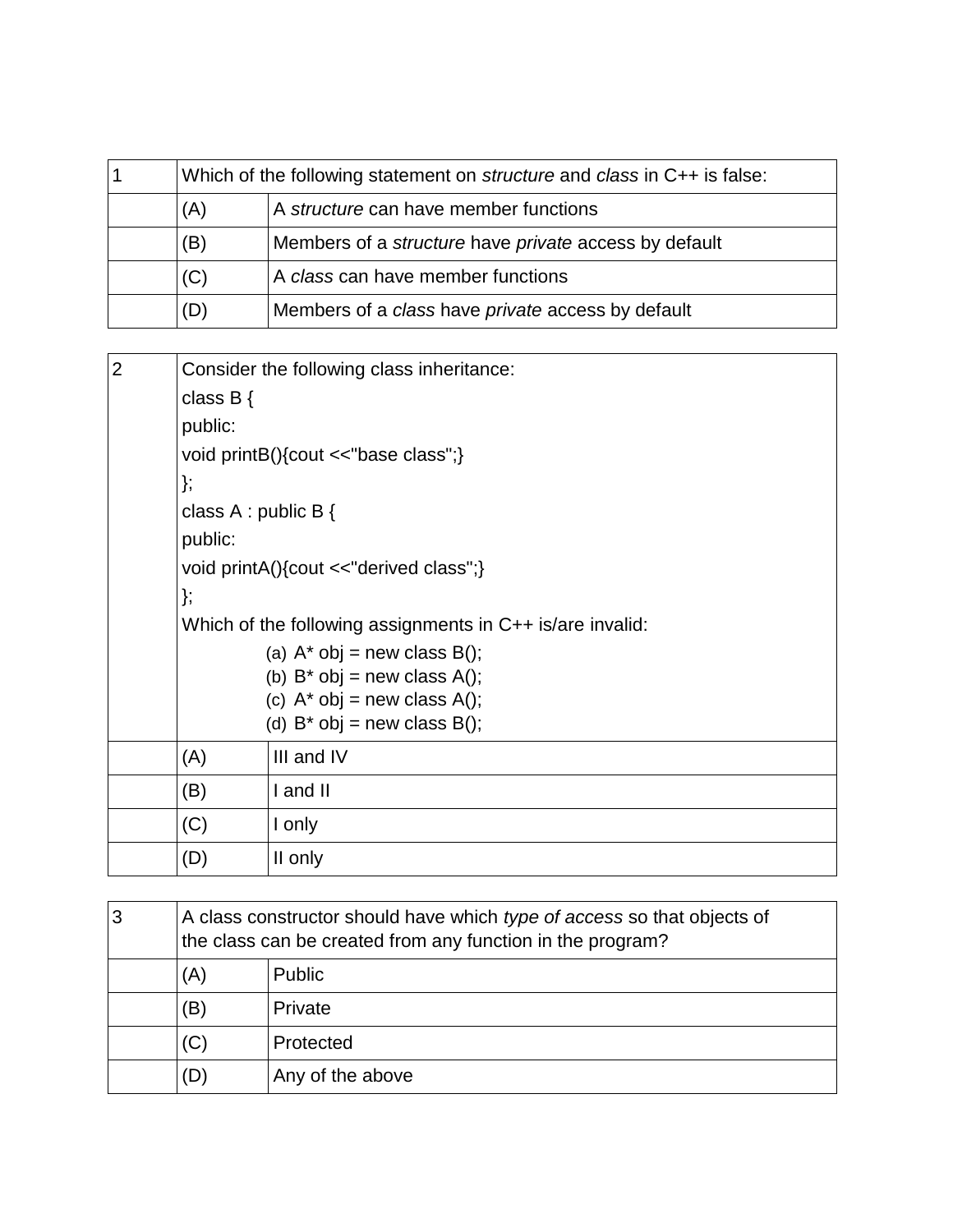| Which of the following statement on <i>structure</i> and <i>class</i> in C++ is false: |                                                       |
|----------------------------------------------------------------------------------------|-------------------------------------------------------|
| (A)                                                                                    | A structure can have member functions                 |
| (B)                                                                                    | Members of a structure have private access by default |
| (C)                                                                                    | A class can have member functions                     |
| (D)                                                                                    | Members of a class have private access by default     |

| $\overline{2}$ | Consider the following class inheritance:                 |                                                                     |  |  |
|----------------|-----------------------------------------------------------|---------------------------------------------------------------------|--|--|
|                | class $B\{$                                               |                                                                     |  |  |
|                | public:                                                   |                                                                     |  |  |
|                | void printB(){cout <<"base class";}                       |                                                                     |  |  |
|                | };                                                        |                                                                     |  |  |
|                | class $A : public B$ {                                    |                                                                     |  |  |
|                | public:                                                   |                                                                     |  |  |
|                | void printA(){cout <<"derived class";}                    |                                                                     |  |  |
|                | };                                                        |                                                                     |  |  |
|                | Which of the following assignments in C++ is/are invalid: |                                                                     |  |  |
|                |                                                           | (a) $A^*$ obj = new class B();                                      |  |  |
|                |                                                           | (b) $B^*$ obj = new class A();                                      |  |  |
|                |                                                           | (c) $A^*$ obj = new class A();<br>(d) $B^*$ obj = new class $B()$ ; |  |  |
|                | (A)                                                       | III and IV                                                          |  |  |
|                | (B)                                                       | I and II                                                            |  |  |
|                | (C)                                                       | I only                                                              |  |  |
|                | (D)                                                       | II only                                                             |  |  |

| 3 | A class constructor should have which type of access so that objects of<br>the class can be created from any function in the program? |                  |  |
|---|---------------------------------------------------------------------------------------------------------------------------------------|------------------|--|
|   | (A)                                                                                                                                   | Public           |  |
|   | (B)                                                                                                                                   | Private          |  |
|   | (C)                                                                                                                                   | Protected        |  |
|   | (D                                                                                                                                    | Any of the above |  |